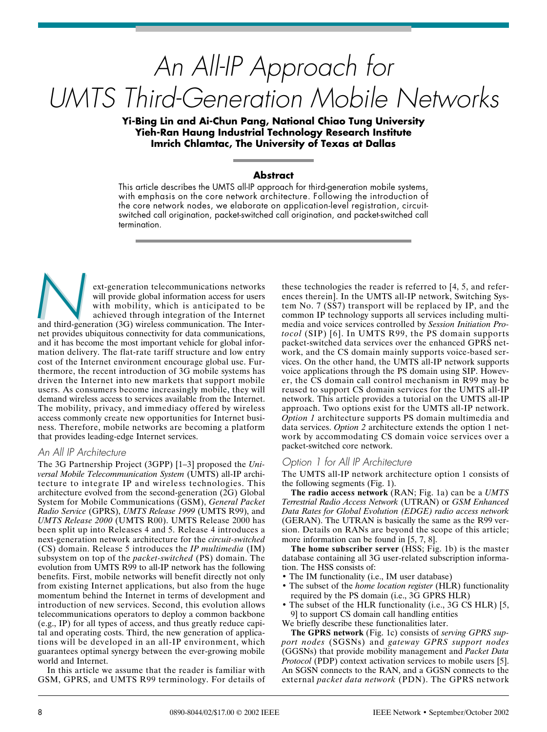# *An All-IP Approach for UMTS Third-Generation Mobile Networks*

**Yi-Bing Lin and Ai-Chun Pang, National Chiao Tung University Yieh-Ran Haung Industrial Technology Research Institute Imrich Chlamtac, The University of Texas at Dallas**

### **Abstract**

This article describes the UMTS all-IP approach for third-generation mobile systems, with emphasis on the core network architecture. Following the introduction of the core network nodes, we elaborate on application-level registration, circuitswitched call origination, packet-switched call origination, and packet-switched call termination.

ext-generation telecommunications networks will provide global information access for users with mobility, which is anticipated to be achieved through integration of the Internet ext-generation telecommunications networks<br>will provide global information access for users<br>with mobility, which is anticipated to be<br>achieved through integration of the Internet<br>and third-generation (3G) wireless communic net provides ubiquitous connectivity for data communications, and it has become the most important vehicle for global information delivery. The flat-rate tariff structure and low entry cost of the Internet environment encourage global use. Furthermore, the recent introduction of 3G mobile systems has driven the Internet into new markets that support mobile users. As consumers become increasingly mobile, they will demand wireless access to services available from the Internet. The mobility, privacy, and immediacy offered by wireless access commonly create new opportunities for Internet business. Therefore, mobile networks are becoming a platform that provides leading-edge Internet services.

### *An All IP Architecture*

The 3G Partnership Project (3GPP) [1–3] proposed the *Universal Mobile Telecommunication System* (UMTS) all-IP architecture to integrate IP and wireless technologies. This architecture evolved from the second-generation  $(2G)$  Global System for Mobile Communications (GSM), *General Packet Radio Service* (GPRS), *UMTS Release 1999* (UMTS R99), and *UMTS Release 2000* (UMTS R00). UMTS Release 2000 has been split up into Releases 4 and 5. Release 4 introduces a next-generation network architecture for the *circuit-switched* (CS) domain. Release 5 introduces the *IP multimedia* (IM) subsystem on top of the *packet-switched* (PS) domain. The evolution from UMTS R99 to all-IP network has the following benefits. First, mobile networks will benefit directly not only from existing Internet applications, but also from the huge momentum behind the Internet in terms of development and introduction of new services. Second, this evolution allows telecommunications operators to deploy a common backbone (e.g., IP) for all types of access, and thus greatly reduce capital and operating costs. Third, the new generation of applications will be developed in an all-IP environment, which guarantees optimal synergy between the ever-growing mobile world and Internet.

In this article we assume that the reader is familiar with GSM, GPRS, and UMTS R99 terminology. For details of

these technologies the reader is referred to [4, 5, and references therein]. In the UMTS all-IP network, Switching System No. 7 (SS7) transport will be replaced by IP, and the common IP technology supports all services including multimedia and voice services controlled by *Session Initiation Protocol* (SIP) [6]. In UMTS R99, the PS domain supports packet-switched data services over the enhanced GPRS network, and the CS domain mainly supports voice-based services. On the other hand, the UMTS all-IP network supports voice applications through the PS domain using SIP. However, the CS domain call control mechanism in R99 may be reused to support CS domain services for the UMTS all-IP network. This article provides a tutorial on the UMTS all-IP approach. Two options exist for the UMTS all-IP network. *Option 1* architecture supports PS domain multimedia and data services. *Option 2* architecture extends the option 1 network by accommodating CS domain voice services over a packet-switched core network.

### *Option 1 for All IP Architecture*

The UMTS all-IP network architecture option 1 consists of the following segments (Fig. 1).

**The radio access network** (RAN; Fig. 1a) can be a *UMTS Terrestrial Radio Access Network* (UTRAN) or *GSM Enhanced Data Rates for Global Evolution (EDGE) radio access network* (GERAN). The UTRAN is basically the same as the R99 version. Details on RANs are beyond the scope of this article; more information can be found in [5, 7, 8].

**The home subscriber server** (HSS; Fig. 1b) is the master database containing all 3G user-related subscription information. The HSS consists of:

- The IM functionality (i.e., IM user database)
- The subset of the *home location register* (HLR) functionality required by the PS domain (i.e., 3G GPRS HLR)
- The subset of the HLR functionality (i.e., 3G CS HLR) [5, 9] to support CS domain call handling entities
- We briefly describe these functionalities later.

**The GPRS network** (Fig. 1c) consists of *serving GPRS support nodes* (SGSNs) and *gateway GPRS support nodes* (GGSNs) that provide mobility management and *Packet Data Protocol* (PDP) context activation services to mobile users [5]. An SGSN connects to the RAN, and a GGSN connects to the external *packet data network* (PDN). The GPRS network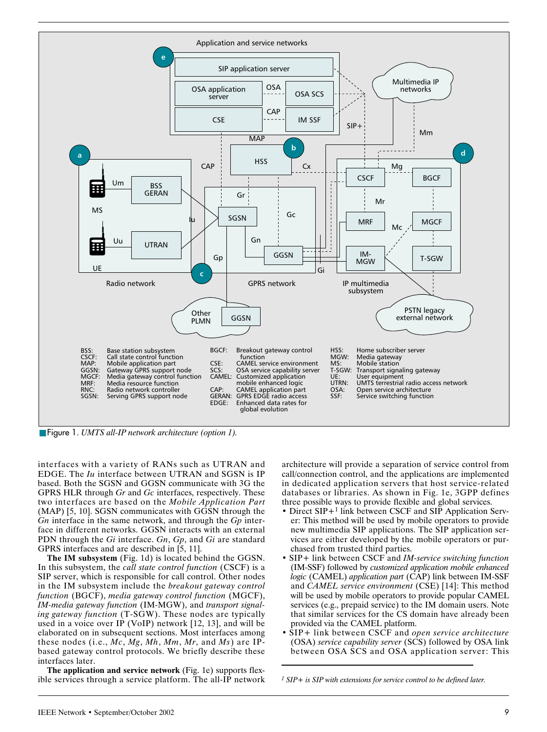

■ Figure 1. *UMTS all-IP network architecture (option 1)*.

interfaces with a variety of RANs such as UTRAN and EDGE. The *Iu* interface between UTRAN and SGSN is IP based. Both the SGSN and GGSN communicate with 3G the GPRS HLR through *Gr* and *Gc* interfaces, respectively. These two interfaces are based on the *Mobile Application Part* (MAP) [5, 10]. SGSN communicates with GGSN through the *Gn* interface in the same network, and through the *Gp* interface in different networks. GGSN interacts with an external PDN through the *Gi* interface. *Gn*, *Gp*, and *Gi* are standard GPRS interfaces and are described in [5, 11].

**The IM subsystem** (Fig. 1d) is located behind the GGSN. In this subsystem, the *call state control function* (CSCF) is a SIP server, which is responsible for call control. Other nodes in the IM subsystem include the *breakout gateway control function* (BGCF), *media gateway control function* (MGCF), *IM-media gateway function* (IM-MGW), and *transport signaling gateway function* (T-SGW). These nodes are typically used in a voice over IP (VoIP) network [12, 13], and will be elaborated on in subsequent sections. Most interfaces among these nodes (i.e., *Mc*, *Mg*, *Mh*, *Mm*, *Mr*, and *Ms*) are IPbased gateway control protocols. We briefly describe these interfaces later.

**The application and service network** (Fig. 1e) supports flexible services through a service platform. The all-IP network architecture will provide a separation of service control from call/connection control, and the applications are implemented in dedicated application servers that host service-related databases or libraries. As shown in Fig. 1e, 3GPP defines three possible ways to provide flexible and global services.

- Direct SIP+<sup>1</sup> link between CSCF and SIP Application Server: This method will be used by mobile operators to provide new multimedia SIP applications. The SIP application services are either developed by the mobile operators or purchased from trusted third parties.
- SIP+ link between CSCF and *IM-service switching function* (IM-SSF) followed by *customized application mobile enhanced logic* (CAMEL) *application part* (CAP) link between IM-SSF and *CAMEL service environment* (CSE) [14]: This method will be used by mobile operators to provide popular CAMEL services (e.g., prepaid service) to the IM domain users. Note that similar services for the CS domain have already been provided via the CAMEL platform.
- SIP+ link between CSCF and *open service architecture* (OSA) *service capability server* (SCS) followed by OSA link between OSA SCS and OSA application server: This

*<sup>1</sup> SIP+ is SIP with extensions for service control to be defined later.*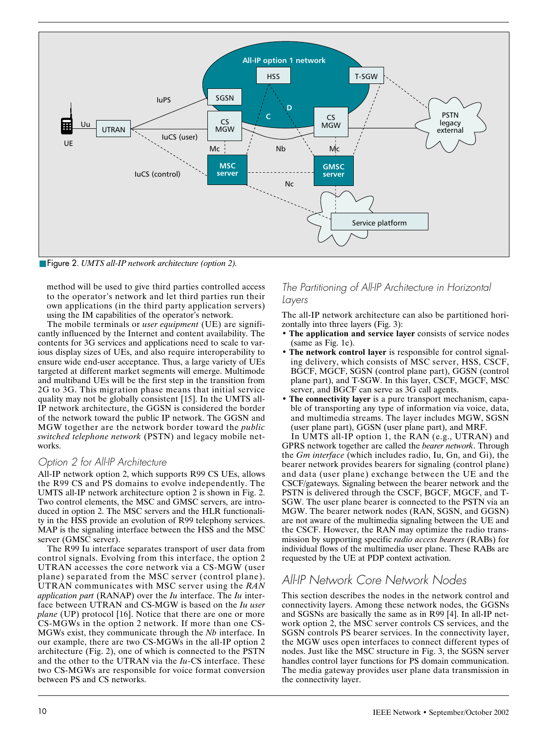

■ Figure 2. *UMTS all-IP network architecture (option 2)*.

method will be used to give third parties controlled access to the operator's network and let third parties run their own applications (in the third party application servers) using the IM capabilities of the operator's network.

The mobile terminals or *user equipment* (UE) are significantly influenced by the Internet and content availability. The contents for 3G services and applications need to scale to various display sizes of UEs, and also require interoperability to ensure wide end-user acceptance. Thus, a large variety of UEs targeted at different market segments will emerge. Multimode and multiband UEs will be the first step in the transition from 2G to 3G. This migration phase means that initial service quality may not be globally consistent [15]. In the UMTS all-IP network architecture, the GGSN is considered the border of the network toward the public IP network. The GGSN and MGW together are the network border toward the *public switched telephone network* (PSTN) and legacy mobile networks.

### *Option 2 for All-IP Architecture*

All-IP network option 2, which supports R99 CS UEs, allows the R99 CS and PS domains to evolve independently. The UMTS all-IP network architecture option 2 is shown in Fig. 2. Two control elements, the MSC and GMSC servers, are introduced in option 2. The MSC servers and the HLR functionality in the HSS provide an evolution of R99 telephony services. MAP is the signaling interface between the HSS and the MSC server (GMSC server).

The R99 Iu interface separates transport of user data from control signals. Evolving from this interface, the option 2 UTRAN accesses the core network via a CS-MGW (user plane) separated from the MSC server (control plane). UTRAN communicates with MSC server using the *RAN application part* (RANAP) over the *Iu* interface. The *Iu* interface between UTRAN and CS-MGW is based on the *Iu user plane* (UP) protocol [16]. Notice that there are one or more CS-MGWs in the option 2 network. If more than one CS-MGWs exist, they communicate through the *Nb* interface. In our example, there are two CS-MGWs in the all-IP option 2 architecture (Fig. 2), one of which is connected to the PSTN and the other to the UTRAN via the *Iu*-CS interface. These two CS-MGWs are responsible for voice format conversion between PS and CS networks.

### *The Partitioning of All-IP Architecture in Horizontal Layers*

The all-IP network architecture can also be partitioned horizontally into three layers (Fig. 3):

- **The application and service layer** consists of service nodes (same as Fig. 1e).
- **The network control layer** is responsible for control signaling delivery, which consists of MSC server, HSS, CSCF, BGCF, MGCF, SGSN (control plane part), GGSN (control plane part), and T-SGW. In this layer, CSCF, MGCF, MSC server, and BGCF can serve as 3G call agents.
- **The connectivity layer** is a pure transport mechanism, capable of transporting any type of information via voice, data, and multimedia streams. The layer includes MGW, SGSN (user plane part), GGSN (user plane part), and MRF.

In UMTS all-IP option 1, the RAN (e.g., UTRAN) and GPRS network together are called the *bearer network*. Through the *Gm interface* (which includes radio, Iu, Gn, and Gi), the bearer network provides bearers for signaling (control plane) and data (user plane) exchange between the UE and the CSCF/gateways. Signaling between the bearer network and the PSTN is delivered through the CSCF, BGCF, MGCF, and T-SGW. The user plane bearer is connected to the PSTN via an MGW. The bearer network nodes (RAN, SGSN, and GGSN) are not aware of the multimedia signaling between the UE and the CSCF. However, the RAN may optimize the radio transmission by supporting specific *radio access bearers* (RABs) for individual flows of the multimedia user plane. These RABs are requested by the UE at PDP context activation.

# *All-IP Network Core Network Nodes*

This section describes the nodes in the network control and connectivity layers. Among these network nodes, the GGSNs and SGSNs are basically the same as in R99 [4]. In all-IP network option 2, the MSC server controls CS services, and the SGSN controls PS bearer services. In the connectivity layer, the MGW uses open interfaces to connect different types of nodes. Just like the MSC structure in Fig. 3, the SGSN server handles control layer functions for PS domain communication. The media gateway provides user plane data transmission in the connectivity layer.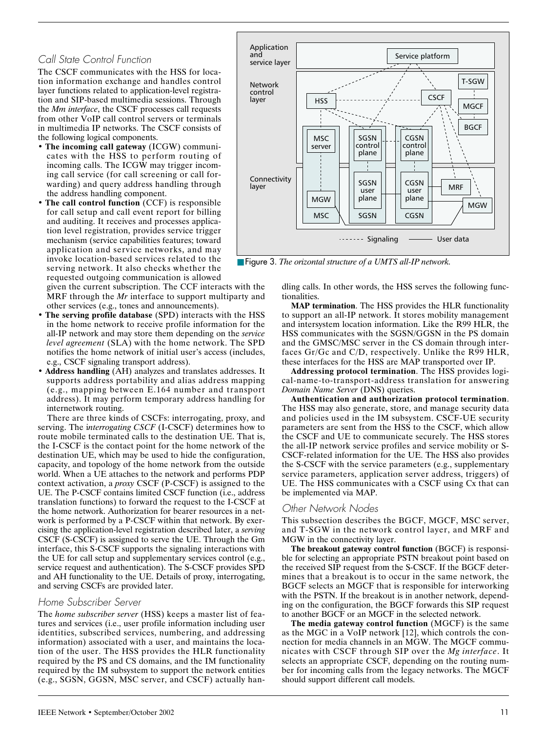### *Call State Control Function*

The CSCF communicates with the HSS for location information exchange and handles control layer functions related to application-level registration and SIP-based multimedia sessions. Through the *Mm interface*, the CSCF processes call requests from other VoIP call control servers or terminals in multimedia IP networks. The CSCF consists of the following logical components.

- **The incoming call gateway** (ICGW) communicates with the HSS to perform routing of incoming calls. The ICGW may trigger incoming call service (for call screening or call forwarding) and query address handling through the address handling component.
- **The call control function** (CCF) is responsible for call setup and call event report for billing and auditing. It receives and processes application level registration, provides service trigger mechanism (service capabilities features; toward application and service networks, and may invoke location-based services related to the serving network. It also checks whether the requested outgoing communication is allowed

given the current subscription. The CCF interacts with the MRF through the *Mr* interface to support multiparty and other services (e.g., tones and announcements).

- **The serving profile database** (SPD) interacts with the HSS in the home network to receive profile information for the all-IP network and may store them depending on the *service level agreement* (SLA) with the home network. The SPD notifies the home network of initial user's access (includes, e.g., CSCF signaling transport address).
- **Address handling** (AH) analyzes and translates addresses. It supports address portability and alias address mapping (e.g., mapping between E.164 number and transport address). It may perform temporary address handling for internetwork routing.

There are three kinds of CSCFs: interrogating, proxy, and serving. The i*nterrogating CSCF* (I-CSCF) determines how to route mobile terminated calls to the destination UE. That is, the I-CSCF is the contact point for the home network of the destination UE, which may be used to hide the configuration, capacity, and topology of the home network from the outside world. When a UE attaches to the network and performs PDP context activation, a *proxy* CSCF (P-CSCF) is assigned to the UE. The P-CSCF contains limited CSCF function (i.e., address translation functions) to forward the request to the I-CSCF at the home network. Authorization for bearer resources in a network is performed by a P-CSCF within that network. By exercising the application-level registration described later, a *serving* CSCF (S-CSCF) is assigned to serve the UE. Through the Gm interface, this S-CSCF supports the signaling interactions with the UE for call setup and supplementary services control (e.g., service request and authentication). The S-CSCF provides SPD and AH functionality to the UE. Details of proxy, interrogating, and serving CSCFs are provided later.

### *Home Subscriber Server*

The *home subscriber server* (HSS) keeps a master list of features and services (i.e., user profile information including user identities, subscribed services, numbering, and addressing information) associated with a user, and maintains the location of the user. The HSS provides the HLR functionality required by the PS and CS domains, and the IM functionality required by the IM subsystem to support the network entities (e.g., SGSN, GGSN, MSC server, and CSCF) actually han-



■ Figure 3. *The orizontal structure of a UMTS all-IP network*.

dling calls. In other words, the HSS serves the following functionalities.

**MAP termination**. The HSS provides the HLR functionality to support an all-IP network. It stores mobility management and intersystem location information. Like the R99 HLR, the HSS communicates with the SGSN/GGSN in the PS domain and the GMSC/MSC server in the CS domain through interfaces Gr/Gc and C/D, respectively. Unlike the R99 HLR, these interfaces for the HSS are MAP transported over IP.

**Addressing protocol termination**. The HSS provides logical-name-to-transport-address translation for answering *Domain Name Server* (DNS) queries.

**Authentication and authorization protocol termination**. The HSS may also generate, store, and manage security data and policies used in the IM subsystem. CSCF-UE security parameters are sent from the HSS to the CSCF, which allow the CSCF and UE to communicate securely. The HSS stores the all-IP network service profiles and service mobility or S-CSCF-related information for the UE. The HSS also provides the S-CSCF with the service parameters (e.g., supplementary service parameters, application server address, triggers) of UE. The HSS communicates with a CSCF using Cx that can be implemented via MAP.

### *Other Network Nodes*

This subsection describes the BGCF, MGCF, MSC server, and T-SGW in the network control layer, and MRF and MGW in the connectivity layer.

**The breakout gateway control function** (BGCF) is responsible for selecting an appropriate PSTN breakout point based on the received SIP request from the S-CSCF. If the BGCF determines that a breakout is to occur in the same network, the BGCF selects an MGCF that is responsible for interworking with the PSTN. If the breakout is in another network, depending on the configuration, the BGCF forwards this SIP request to another BGCF or an MGCF in the selected network.

**The media gateway control function** (MGCF) is the same as the MGC in a VoIP network [12], which controls the connection for media channels in an MGW. The MGCF communicates with CSCF through SIP over the *Mg interface*. It selects an appropriate CSCF, depending on the routing number for incoming calls from the legacy networks. The MGCF should support different call models.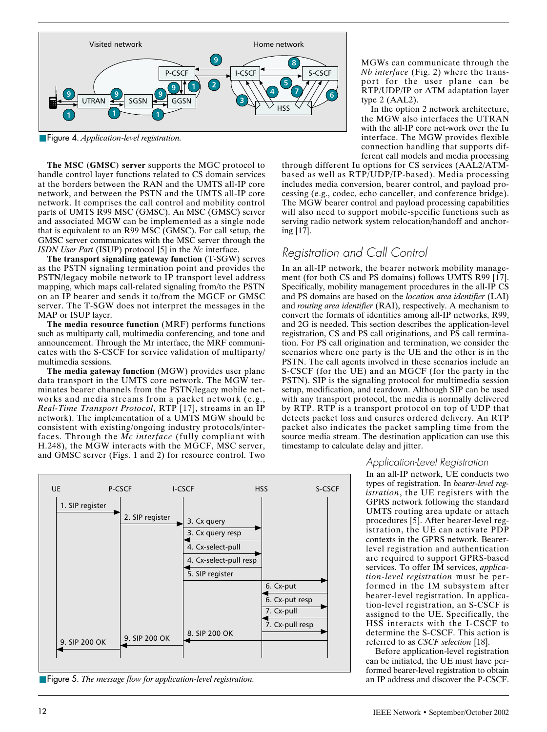

■ Figure 4. *Application-level registration.*

**The MSC (GMSC) server** supports the MGC protocol to handle control layer functions related to CS domain services at the borders between the RAN and the UMTS all-IP core network, and between the PSTN and the UMTS all-IP core network. It comprises the call control and mobility control parts of UMTS R99 MSC (GMSC). An MSC (GMSC) server and associated MGW can be implemented as a single node that is equivalent to an R99 MSC (GMSC). For call setup, the GMSC server communicates with the MSC server through the *ISDN User Part* (ISUP) protocol [5] in the *Nc* interface.

**The transport signaling gateway function** (T-SGW) serves as the PSTN signaling termination point and provides the PSTN/legacy mobile network to IP transport level address mapping, which maps call-related signaling from/to the PSTN on an IP bearer and sends it to/from the MGCF or GMSC server. The T-SGW does not interpret the messages in the MAP or ISUP layer.

**The media resource function** (MRF) performs functions such as multiparty call, multimedia conferencing, and tone and announcement. Through the Mr interface, the MRF communicates with the S-CSCF for service validation of multiparty/ multimedia sessions.

**The media gateway function** (MGW) provides user plane data transport in the UMTS core network. The MGW terminates bearer channels from the PSTN/legacy mobile networks and media streams from a packet network (e.g., *Real-Time Transport Protocol*, RTP [17], streams in an IP network). The implementation of a UMTS MGW should be consistent with existing/ongoing industry protocols/interfaces. Through the *Mc interface* (fully compliant with H.248), the MGW interacts with the MGCF, MSC server, and GMSC server (Figs. 1 and 2) for resource control. Two



■ Figure 5. *The message flow for application-level registration.* 

MGWs can communicate through the *Nb interface* (Fig. 2) where the transport for the user plane can be RTP/UDP/IP or ATM adaptation layer type 2 (AAL2).

In the option 2 network architecture, the MGW also interfaces the UTRAN with the all-IP core net-work over the Iu interface. The MGW provides flexible connection handling that supports different call models and media processing

through different Iu options for CS services (AAL2/ATMbased as well as RTP/UDP/IP-based). Media processing includes media conversion, bearer control, and payload processing (e.g., codec, echo canceller, and conference bridge). The MGW bearer control and payload processing capabilities will also need to support mobile-specific functions such as serving radio network system relocation/handoff and anchoring [17].

# *Registration and Call Control*

In an all-IP network, the bearer network mobility management (for both CS and PS domains) follows UMTS R99 [17]. Specifically, mobility management procedures in the all-IP CS and PS domains are based on the *location area identifier* (LAI) and *routing area identifier* (RAI), respectively. A mechanism to convert the formats of identities among all-IP networks, R99, and 2G is needed. This section describes the application-level registration, CS and PS call originations, and PS call termination. For PS call origination and termination, we consider the scenarios where one party is the UE and the other is in the PSTN. The call agents involved in these scenarios include an S-CSCF (for the UE) and an MGCF (for the party in the PSTN). SIP is the signaling protocol for multimedia session setup, modification, and teardown. Although SIP can be used with any transport protocol, the media is normally delivered by RTP. RTP is a transport protocol on top of UDP that detects packet loss and ensures ordered delivery. An RTP packet also indicates the packet sampling time from the source media stream. The destination application can use this timestamp to calculate delay and jitter.

### *Application-Level Registration*

In an all-IP network, UE conducts two types of registration. In *bearer-level registration*, the UE registers with the GPRS network following the standard UMTS routing area update or attach procedures [5]. After bearer-level registration, the UE can activate PDP contexts in the GPRS network. Bearerlevel registration and authentication are required to support GPRS-based services. To offer IM services, *application-level registration* must be performed in the IM subsystem after bearer-level registration. In application-level registration, an S-CSCF is assigned to the UE. Specifically, the HSS interacts with the I-CSCF to determine the S-CSCF. This action is referred to as *CSCF selection* [18].

Before application-level registration can be initiated, the UE must have performed bearer-level registration to obtain an IP address and discover the P-CSCF.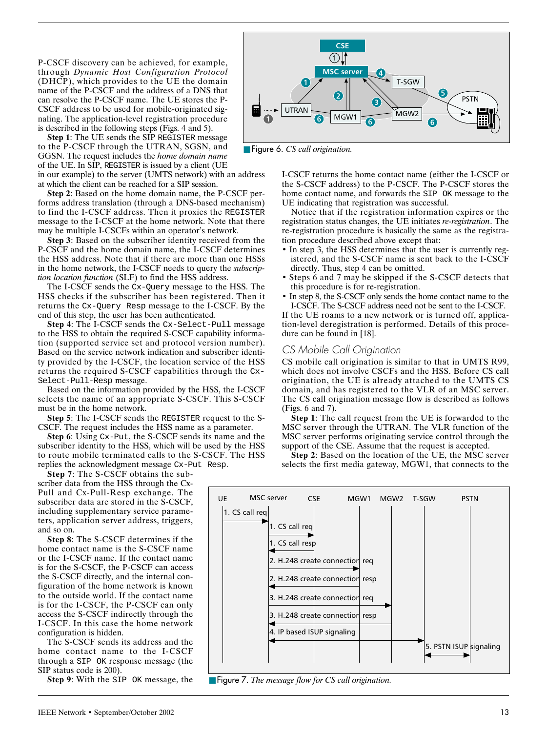P-CSCF discovery can be achieved, for example, through *Dynamic Host Configuration Protocol* (DHCP), which provides to the UE the domain name of the P-CSCF and the address of a DNS that can resolve the P-CSCF name. The UE stores the P-CSCF address to be used for mobile-originated signaling. The application-level registration procedure is described in the following steps (Figs. 4 and 5).

**Step 1**: The UE sends the SIP REGISTER message to the P-CSCF through the UTRAN, SGSN, and GGSN. The request includes the *home domain name* of the UE. In SIP, REGISTER is issued by a client (UE

in our example) to the server (UMTS network) with an address at which the client can be reached for a SIP session.

**Step 2**: Based on the home domain name, the P-CSCF performs address translation (through a DNS-based mechanism) to find the I-CSCF address. Then it proxies the REGISTER message to the I-CSCF at the home network. Note that there may be multiple I-CSCFs within an operator's network.

**Step 3**: Based on the subscriber identity received from the P-CSCF and the home domain name, the I-CSCF determines the HSS address. Note that if there are more than one HSSs in the home network, the I-CSCF needs to query the *subscription location function* (SLF) to find the HSS address.

The I-CSCF sends the Cx-Query message to the HSS. The HSS checks if the subscriber has been registered. Then it returns the Cx-Query Resp message to the I-CSCF. By the end of this step, the user has been authenticated.

**Step 4**: The I-CSCF sends the Cx-Select-Pull message to the HSS to obtain the required S-CSCF capability information (supported service set and protocol version number). Based on the service network indication and subscriber identity provided by the I-CSCF, the location service of the HSS returns the required S-CSCF capabilities through the Cx-Select-Pull-Resp message.

Based on the information provided by the HSS, the I-CSCF selects the name of an appropriate S-CSCF. This S-CSCF must be in the home network.

**Step 5**: The I-CSCF sends the REGISTER request to the S-CSCF. The request includes the HSS name as a parameter.

**Step 6**: Using Cx-Put, the S-CSCF sends its name and the subscriber identity to the HSS, which will be used by the HSS to route mobile terminated calls to the S-CSCF. The HSS replies the acknowledgment message Cx-Put Resp.

**Step 7**: The S-CSCF obtains the subscriber data from the HSS through the Cx-Pull and Cx-Pull-Resp exchange. The subscriber data are stored in the S-CSCF, including supplementary service parameters, application server address, triggers, and so on.

**Step 8**: The S-CSCF determines if the home contact name is the S-CSCF name or the I-CSCF name. If the contact name is for the S-CSCF, the P-CSCF can access the S-CSCF directly, and the internal configuration of the home network is known to the outside world. If the contact name is for the I-CSCF, the P-CSCF can only access the S-CSCF indirectly through the I-CSCF. In this case the home network configuration is hidden.

The S-CSCF sends its address and the home contact name to the I-CSCF through a SIP OK response message (the SIP status code is 200).

**Step 9**: With the SIP OK message, the



■ Figure 6. *CS call origination*.

I-CSCF returns the home contact name (either the I-CSCF or the S-CSCF address) to the P-CSCF. The P-CSCF stores the home contact name, and forwards the SIP OK message to the UE indicating that registration was successful.

Notice that if the registration information expires or the registration status changes, the UE initiates *re-registration*. The re-registration procedure is basically the same as the registration procedure described above except that:

- In step 3, the HSS determines that the user is currently registered, and the S-CSCF name is sent back to the I-CSCF directly. Thus, step 4 can be omitted.
- Steps 6 and 7 may be skipped if the S-CSCF detects that this procedure is for re-registration.
- In step 8, the S-CSCF only sends the home contact name to the I-CSCF. The S-CSCF address need not be sent to the I-CSCF.

If the UE roams to a new network or is turned off, application-level deregistration is performed. Details of this procedure can be found in [18].

### *CS Mobile Call Origination*

CS mobile call origination is similar to that in UMTS R99, which does not involve CSCFs and the HSS. Before CS call origination, the UE is already attached to the UMTS CS domain, and has registered to the VLR of an MSC server. The CS call origination message flow is described as follows (Figs. 6 and 7).

**Step 1**: The call request from the UE is forwarded to the MSC server through the UTRAN. The VLR function of the MSC server performs originating service control through the support of the CSE. Assume that the request is accepted.

**Step 2**: Based on the location of the UE, the MSC server selects the first media gateway, MGW1, that connects to the



■ Figure 7. *The message flow for CS call origination*.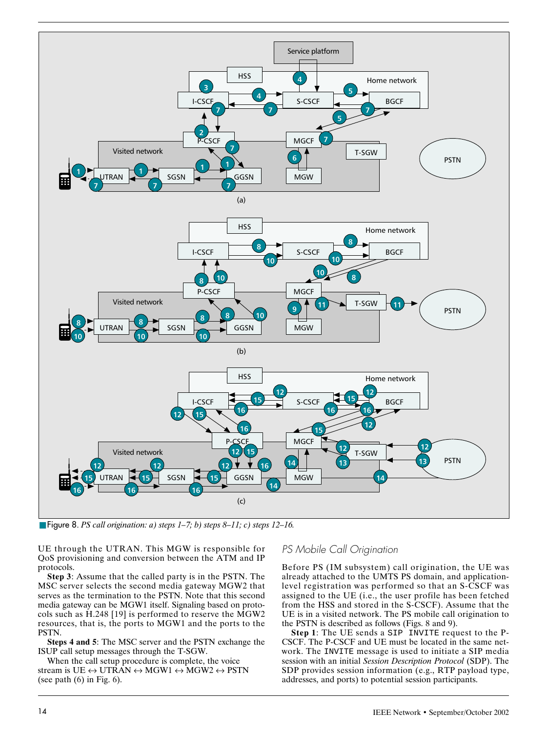

■ Figure 8. *PS call origination: a) steps 1–7; b) steps 8–11; c) steps 12–16.* 

UE through the UTRAN. This MGW is responsible for QoS provisioning and conversion between the ATM and IP protocols.

**Step 3**: Assume that the called party is in the PSTN. The MSC server selects the second media gateway MGW2 that serves as the termination to the PSTN. Note that this second media gateway can be MGW1 itself. Signaling based on protocols such as H.248 [19] is performed to reserve the MGW2 resources, that is, the ports to MGW1 and the ports to the PSTN.

**Steps 4 and 5**: The MSC server and the PSTN exchange the ISUP call setup messages through the T-SGW.

When the call setup procedure is complete, the voice stream is  $UE \leftrightarrow UTRAN \leftrightarrow MGW1 \leftrightarrow MGW2 \leftrightarrow PSTN$ (see path  $(6)$  in Fig.  $6$ ).

# *PS Mobile Call Origination*

Before PS (IM subsystem) call origination, the UE was already attached to the UMTS PS domain, and applicationlevel registration was performed so that an S-CSCF was assigned to the UE (i.e., the user profile has been fetched from the HSS and stored in the S-CSCF). Assume that the UE is in a visited network. The PS mobile call origination to the PSTN is described as follows (Figs. 8 and 9).

**Step 1**: The UE sends a SIP INVITE request to the P-CSCF. The P-CSCF and UE must be located in the same network. The INVITE message is used to initiate a SIP media session with an initial *Session Description Protocol* (SDP). The SDP provides session information (e.g., RTP payload type, addresses, and ports) to potential session participants.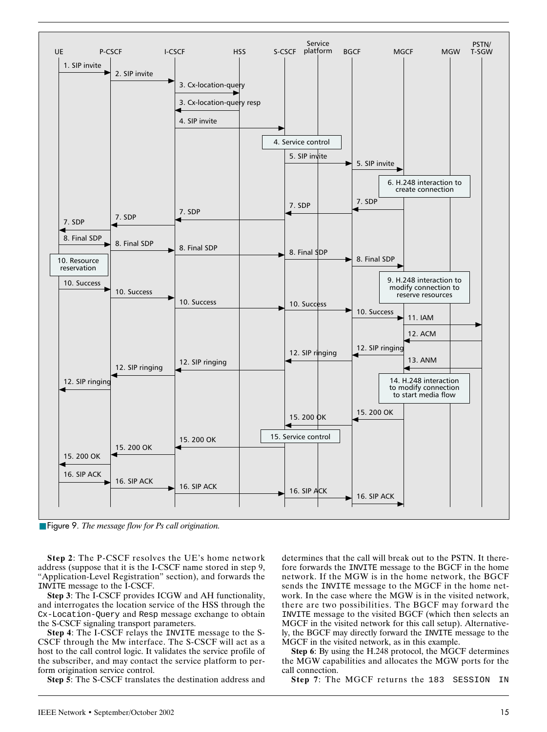

■ Figure 9. *The message flow for Ps call origination*.

**Step 2**: The P-CSCF resolves the UE's home network address (suppose that it is the I-CSCF name stored in step 9, "Application-Level Registration" section), and forwards the INVITE message to the I-CSCF.

**Step 3**: The I-CSCF provides ICGW and AH functionality, and interrogates the location service of the HSS through the Cx-Location-Query and Resp message exchange to obtain the S-CSCF signaling transport parameters.

**Step 4**: The I-CSCF relays the INVITE message to the S-CSCF through the Mw interface. The S-CSCF will act as a host to the call control logic. It validates the service profile of the subscriber, and may contact the service platform to perform origination service control.

**Step 5**: The S-CSCF translates the destination address and

determines that the call will break out to the PSTN. It therefore forwards the INVITE message to the BGCF in the home network. If the MGW is in the home network, the BGCF sends the INVITE message to the MGCF in the home network. In the case where the MGW is in the visited network, there are two possibilities. The BGCF may forward the INVITE message to the visited BGCF (which then selects an MGCF in the visited network for this call setup). Alternatively, the BGCF may directly forward the INVITE message to the MGCF in the visited network, as in this example.

**Step 6**: By using the H.248 protocol, the MGCF determines the MGW capabilities and allocates the MGW ports for the call connection.

**Step 7**: The MGCF returns the 183 SESSION IN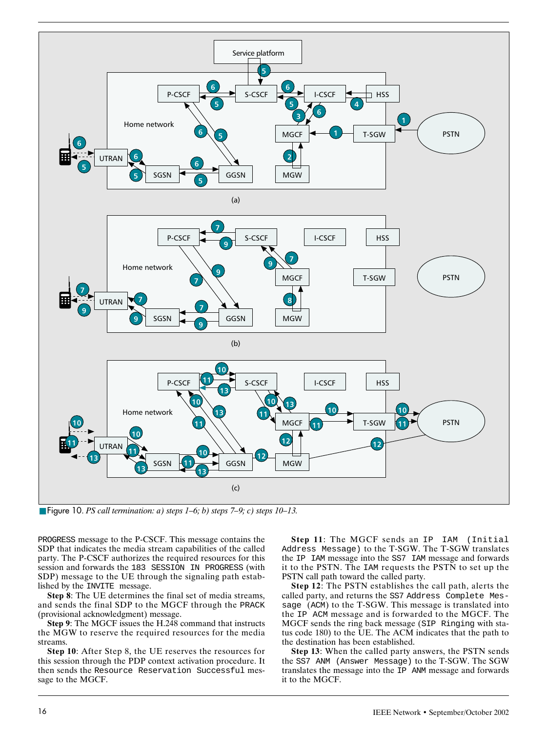

■ Figure 10. *PS call termination: a) steps 1–6; b) steps 7–9; c) steps 10–13.* 

PROGRESS message to the P-CSCF. This message contains the SDP that indicates the media stream capabilities of the called party. The P-CSCF authorizes the required resources for this session and forwards the 183 SESSION IN PROGRESS (with SDP) message to the UE through the signaling path established by the INVITE message.

**Step 8**: The UE determines the final set of media streams, and sends the final SDP to the MGCF through the PRACK (provisional acknowledgment) message.

**Step 9**: The MGCF issues the H.248 command that instructs the MGW to reserve the required resources for the media streams.

**Step 10**: After Step 8, the UE reserves the resources for this session through the PDP context activation procedure. It then sends the Resource Reservation Successful message to the MGCF.

**Step 11**: The MGCF sends an IP IAM (Initial Address Message) to the T-SGW. The T-SGW translates the IP IAM message into the SS7 IAM message and forwards it to the PSTN. The IAM requests the PSTN to set up the PSTN call path toward the called party.

**Step 12**: The PSTN establishes the call path, alerts the called party, and returns the SS7 Address Complete Message (ACM) to the T-SGW. This message is translated into the IP ACM message and is forwarded to the MGCF. The MGCF sends the ring back message (SIP Ringing with status code 180) to the UE. The ACM indicates that the path to the destination has been established.

**Step 13**: When the called party answers, the PSTN sends the SS7 ANM (Answer Message) to the T-SGW. The SGW translates the message into the IP ANM message and forwards it to the MGCF.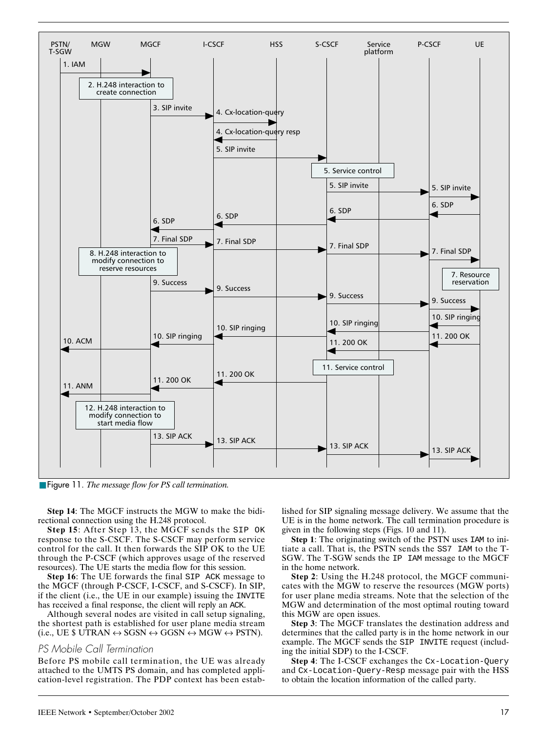

■ Figure 11. *The message flow for PS call termination*.

**Step 14**: The MGCF instructs the MGW to make the bidirectional connection using the H.248 protocol.

**Step 15**: After Step 13, the MGCF sends the SIP OK response to the S-CSCF. The S-CSCF may perform service control for the call. It then forwards the SIP OK to the UE through the P-CSCF (which approves usage of the reserved resources). The UE starts the media flow for this session.

**Step 16**: The UE forwards the final SIP ACK message to the MGCF (through P-CSCF, I-CSCF, and S-CSCF). In SIP, if the client (i.e., the UE in our example) issuing the INVITE has received a final response, the client will reply an ACK.

Although several nodes are visited in call setup signaling, the shortest path is established for user plane media stream  $(i.e., UE $ UTRAN \leftrightarrow SGSN \leftrightarrow GGSN \leftrightarrow MGW \leftrightarrow PSTN).$ 

### *PS Mobile Call Termination*

Before PS mobile call termination, the UE was already attached to the UMTS PS domain, and has completed application-level registration. The PDP context has been estab-

lished for SIP signaling message delivery. We assume that the UE is in the home network. The call termination procedure is given in the following steps (Figs. 10 and 11).

**Step 1**: The originating switch of the PSTN uses IAM to initiate a call. That is, the PSTN sends the SS7 IAM to the T-SGW. The T-SGW sends the IP IAM message to the MGCF in the home network.

**Step 2**: Using the H.248 protocol, the MGCF communicates with the MGW to reserve the resources (MGW ports) for user plane media streams. Note that the selection of the MGW and determination of the most optimal routing toward this MGW are open issues.

**Step 3**: The MGCF translates the destination address and determines that the called party is in the home network in our example. The MGCF sends the SIP INVITE request (including the initial SDP) to the I-CSCF.

**Step 4**: The I-CSCF exchanges the Cx-Location-Query and Cx-Location-Query-Resp message pair with the HSS to obtain the location information of the called party.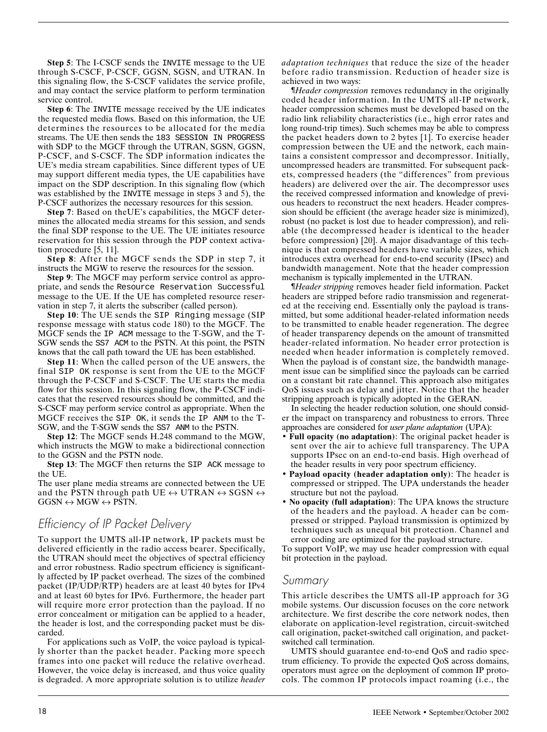**Step 5**: The I-CSCF sends the INVITE message to the UE through S-CSCF, P-CSCF, GGSN, SGSN, and UTRAN. In this signaling flow, the S-CSCF validates the service profile, and may contact the service platform to perform termination service control.

**Step 6**: The INVITE message received by the UE indicates the requested media flows. Based on this information, the UE determines the resources to be allocated for the media streams. The UE then sends the 183 SESSION IN PROGRESS with SDP to the MGCF through the UTRAN, SGSN, GGSN, P-CSCF, and S-CSCF. The SDP information indicates the UE's media stream capabilities. Since different types of UE may support different media types, the UE capabilities have impact on the SDP description. In this signaling flow (which was established by the INVITE message in steps 3 and 5), the P-CSCF authorizes the necessary resources for this session.

**Step 7**: Based on theUE's capabilities, the MGCF determines the allocated media streams for this session, and sends the final SDP response to the UE. The UE initiates resource reservation for this session through the PDP context activation procedure [5, 11].

**Step 8**: After the MGCF sends the SDP in step 7, it instructs the MGW to reserve the resources for the session.

**Step 9**: The MGCF may perform service control as appropriate, and sends the Resource Reservation Successful message to the UE. If the UE has completed resource reservation in step 7, it alerts the subscriber (called person).

**Step 10**: The UE sends the SIP Ringing message (SIP response message with status code 180) to the MGCF. The MGCF sends the IP ACM message to the T-SGW, and the T-SGW sends the SS7 ACM to the PSTN. At this point, the PSTN knows that the call path toward the UE has been established.

**Step 11**: When the called person of the UE answers, the final SIP OK response is sent from the UE to the MGCF through the P-CSCF and S-CSCF. The UE starts the media flow for this session. In this signaling flow, the P-CSCF indicates that the reserved resources should be committed, and the S-CSCF may perform service control as appropriate. When the MGCF receives the SIP OK, it sends the IP ANM to the T-SGW, and the T-SGW sends the SS7 ANM to the PSTN.

**Step 12**: The MGCF sends H.248 command to the MGW, which instructs the MGW to make a bidirectional connection to the GGSN and the PSTN node.

**Step 13**: The MGCF then returns the SIP ACK message to the UE.

The user plane media streams are connected between the UE and the PSTN through path UE  $\leftrightarrow$  UTRAN  $\leftrightarrow$  SGSN  $\leftrightarrow$  $GGSN \leftrightarrow MGW \leftrightarrow PSTN$ .

# *Efficiency of IP Packet Delivery*

To support the UMTS all-IP network, IP packets must be delivered efficiently in the radio access bearer. Specifically, the UTRAN should meet the objectives of spectral efficiency and error robustness. Radio spectrum efficiency is significantly affected by IP packet overhead. The sizes of the combined packet (IP/UDP/RTP) headers are at least 40 bytes for IPv4 and at least 60 bytes for IPv6. Furthermore, the header part will require more error protection than the payload. If no error concealment or mitigation can be applied to a header, the header is lost, and the corresponding packet must be discarded.

For applications such as VoIP, the voice payload is typically shorter than the packet header. Packing more speech frames into one packet will reduce the relative overhead. However, the voice delay is increased, and thus voice quality is degraded. A more appropriate solution is to utilize *header* *adaptation techniques* that reduce the size of the header before radio transmission. Reduction of header size is achieved in two ways:

*¶Header compression* removes redundancy in the originally coded header information. In the UMTS all-IP network, header compression schemes must be developed based on the radio link reliability characteristics (i.e., high error rates and long round-trip times). Such schemes may be able to compress the packet headers down to 2 bytes [1]. To exercise header compression between the UE and the network, each maintains a consistent compressor and decompressor. Initially, uncompressed headers are transmitted. For subsequent packets, compressed headers (the "differences" from previous headers) are delivered over the air. The decompressor uses the received compressed information and knowledge of previous headers to reconstruct the next headers. Header compression should be efficient (the average header size is minimized), robust (no packet is lost due to header compression), and reliable (the decompressed header is identical to the header before compression) [20]. A major disadvantage of this technique is that compressed headers have variable sizes, which introduces extra overhead for end-to-end security (IPsec) and bandwidth management. Note that the header compression mechanism is typically implemented in the UTRAN.

*¶Header stripping* removes header field information. Packet headers are stripped before radio transmission and regenerated at the receiving end. Essentially only the payload is transmitted, but some additional header-related information needs to be transmitted to enable header regeneration. The degree of header transparency depends on the amount of transmitted header-related information. No header error protection is needed when header information is completely removed. When the payload is of constant size, the bandwidth management issue can be simplified since the payloads can be carried on a constant bit rate channel. This approach also mitigates QoS issues such as delay and jitter. Notice that the header stripping approach is typically adopted in the GERAN.

In selecting the header reduction solution, one should consider the impact on transparency and robustness to errors. Three approaches are considered for *user plane adaptation* (UPA):

- **Full opacity (no adaptation)**: The original packet header is sent over the air to achieve full transparency. The UPA supports IPsec on an end-to-end basis. High overhead of the header results in very poor spectrum efficiency.
- **Payload opacity (header adaptation only)**: The header is compressed or stripped. The UPA understands the header structure but not the payload.
- **No opacity (full adaptation)**: The UPA knows the structure of the headers and the payload. A header can be compressed or stripped. Payload transmission is optimized by techniques such as unequal bit protection. Channel and error coding are optimized for the payload structure.

To support VoIP, we may use header compression with equal bit protection in the payload.

# *Summary*

This article describes the UMTS all-IP approach for 3G mobile systems. Our discussion focuses on the core network architecture. We first describe the core network nodes, then elaborate on application-level registration, circuit-switched call origination, packet-switched call origination, and packetswitched call termination.

UMTS should guarantee end-to-end QoS and radio spectrum efficiency. To provide the expected QoS across domains, operators must agree on the deployment of common IP protocols. The common IP protocols impact roaming (i.e., the